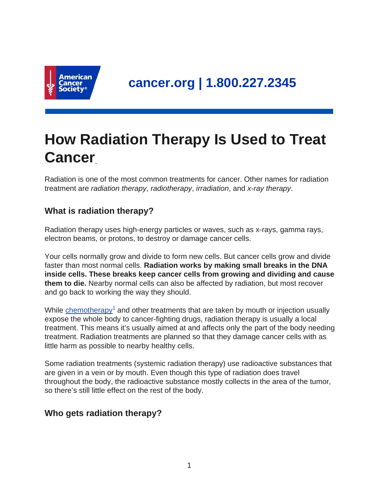

# **How Radiation Therapy Is Used to Treat Cancer**

Radiation is one of the most common treatments for cancer. Other names for radiation treatment are radiation therapy, radiotherapy, irradiation, and x-ray therapy.

## **What is radiation therapy?**

Radiation therapy uses high-energy particles or waves, such as x-rays, gamma rays, electron beams, or protons, to destroy or damage cancer cells.

Your cells normally grow and divide to form new cells. But cancer cells grow and divide faster than most normal cells. **Radiation works by making small breaks in the DNA inside cells. These breaks keep cancer cells from growing and dividing and cause them to die.** Nearby normal cells can also be affected by radiation, but most recover and go back to working the way they should.

While [chemotherapy](https://www.cancer.org/content/cancer/en/treatment/treatments-and-side-effects/treatment-types/chemotherapy.html)<sup>1</sup> and other treatments that are taken by mouth or injection usually expose the whole body to cancer-fighting drugs, radiation therapy is usually a local treatment. This means it's usually aimed at and affects only the part of the body needing treatment. Radiation treatments are planned so that they damage cancer cells with as little harm as possible to nearby healthy cells.

Some radiation treatments (systemic radiation therapy) use radioactive substances that are given in a vein or by mouth. Even though this type of radiation does travel throughout the body, the radioactive substance mostly collects in the area of the tumor, so there's still little effect on the rest of the body.

## **Who gets radiation therapy?**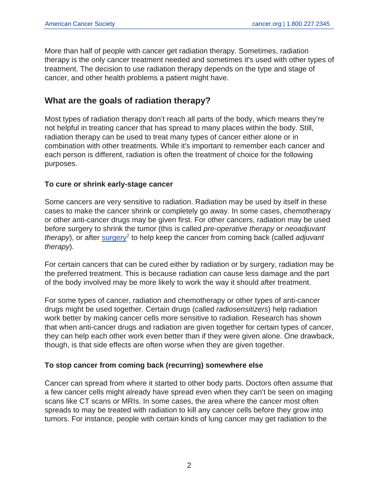More than half of people with cancer get radiation therapy. Sometimes, radiation therapy is the only cancer treatment needed and sometimes it's used with other types of treatment. The decision to use radiation therapy depends on the type and stage of cancer, and other health problems a patient might have.

#### **What are the goals of radiation therapy?**

Most types of radiation therapy don't reach all parts of the body, which means they're not helpful in treating cancer that has spread to many places within the body. Still, radiation therapy can be used to treat many types of cancer either alone or in combination with other treatments. While it's important to remember each cancer and each person is different, radiation is often the treatment of choice for the following purposes.

#### **To cure or shrink early-stage cancer**

Some cancers are very sensitive to radiation. Radiation may be used by itself in these cases to make the cancer shrink or completely go away. In some cases, chemotherapy or other anti-cancer drugs may be given first. For other cancers, radiation may be used before surgery to shrink the tumor (this is called pre-operative therapy or neoadjuvant therapy), or after [surgery](https://www.cancer.org/content/cancer/en/treatment/treatments-and-side-effects/treatment-types/surgery.html)<sup>2</sup> to help keep the cancer from coming back (called adjuvant therapy).

For certain cancers that can be cured either by radiation or by surgery, radiation may be the preferred treatment. This is because radiation can cause less damage and the part of the body involved may be more likely to work the way it should after treatment.

For some types of cancer, radiation and chemotherapy or other types of anti-cancer drugs might be used together. Certain drugs (called radiosensitizers) help radiation work better by making cancer cells more sensitive to radiation. Research has shown that when anti-cancer drugs and radiation are given together for certain types of cancer, they can help each other work even better than if they were given alone. One drawback, though, is that side effects are often worse when they are given together.

#### **To stop cancer from coming back (recurring) somewhere else**

Cancer can spread from where it started to other body parts. Doctors often assume that a few cancer cells might already have spread even when they can't be seen on imaging scans like CT scans or MRIs. In some cases, the area where the cancer most often spreads to may be treated with radiation to kill any cancer cells before they grow into tumors. For instance, people with certain kinds of lung cancer may get radiation to the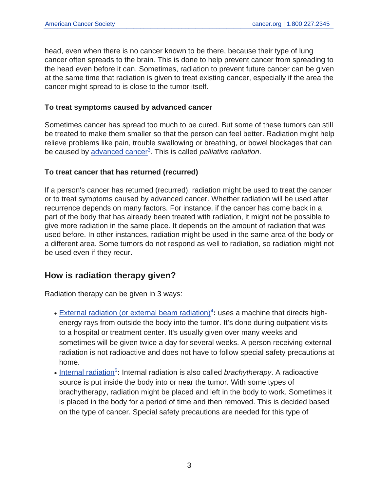head, even when there is no cancer known to be there, because their type of lung cancer often spreads to the brain. This is done to help prevent cancer from spreading to the head even before it can. Sometimes, radiation to prevent future cancer can be given at the same time that radiation is given to treat existing cancer, especially if the area the cancer might spread to is close to the tumor itself.

#### **To treat symptoms caused by advanced cancer**

Sometimes cancer has spread too much to be cured. But some of these tumors can still be treated to make them smaller so that the person can feel better. Radiation might help relieve problems like pain, trouble swallowing or breathing, or bowel blockages that can be caused by [advanced cancer](https://www.cancer.org/content/cancer/en/treatment/understanding-your-diagnosis/advanced-cancer.html)<sup>3</sup>. This is called *palliative radiation*.

#### **To treat cancer that has returned (recurred)**

If a person's cancer has returned (recurred), radiation might be used to treat the cancer or to treat symptoms caused by advanced cancer. Whether radiation will be used after recurrence depends on many factors. For instance, if the cancer has come back in a part of the body that has already been treated with radiation, it might not be possible to give more radiation in the same place. It depends on the amount of radiation that was used before. In other instances, radiation might be used in the same area of the body or a different area. Some tumors do not respond as well to radiation, so radiation might not be used even if they recur.

## **How is radiation therapy given?**

Radiation therapy can be given in 3 ways:

- [External radiation \(or external beam radiation\)](https://www.cancer.org/content/cancer/en/treatment/treatments-and-side-effects/treatment-types/radiation/external-beam-radiation-therapy.html)<sup>4</sup>: uses a machine that directs highenergy rays from outside the body into the tumor. It's done during outpatient visits to a hospital or treatment center. It's usually given over many weeks and sometimes will be given twice a day for several weeks. A person receiving external radiation is not radioactive and does not have to follow special safety precautions at home.
- [Internal radiation](https://www.cancer.org/content/cancer/en/treatment/treatments-and-side-effects/treatment-types/radiation/internal-radiation-therapy-brachytherapy.html)<sup>5</sup>: Internal radiation is also called brachytherapy. A radioactive source is put inside the body into or near the tumor. With some types of brachytherapy, radiation might be placed and left in the body to work. Sometimes it is placed in the body for a period of time and then removed. This is decided based on the type of cancer. Special safety precautions are needed for this type of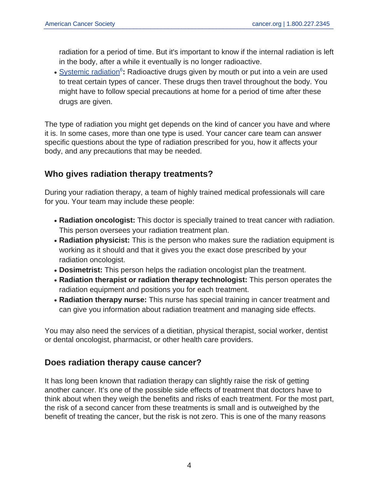radiation for a period of time. But it's important to know if the internal radiation is left in the body, after a while it eventually is no longer radioactive.

• [Systemic radiation](https://www.cancer.org/content/cancer/en/treatment/treatments-and-side-effects/treatment-types/radiation/systemic-radiation-therapy.html)<sup>6</sup>: Radioactive drugs given by mouth or put into a vein are used to treat certain types of cancer. These drugs then travel throughout the body. You might have to follow special precautions at home for a period of time after these drugs are given.

The type of radiation you might get depends on the kind of cancer you have and where it is. In some cases, more than one type is used. Your cancer care team can answer specific questions about the type of radiation prescribed for you, how it affects your body, and any precautions that may be needed.

## **Who gives radiation therapy treatments?**

During your radiation therapy, a team of highly trained medical professionals will care for you. Your team may include these people:

- **Radiation oncologist:** This doctor is specially trained to treat cancer with radiation. This person oversees your radiation treatment plan.
- Radiation physicist: This is the person who makes sure the radiation equipment is working as it should and that it gives you the exact dose prescribed by your radiation oncologist.
- **Dosimetrist:** This person helps the radiation oncologist plan the treatment.
- **Radiation therapist or radiation therapy technologist:** This person operates the radiation equipment and positions you for each treatment.
- Radiation therapy nurse: This nurse has special training in cancer treatment and can give you information about radiation treatment and managing side effects.

You may also need the services of a dietitian, physical therapist, social worker, dentist or dental oncologist, pharmacist, or other health care providers.

## **Does radiation therapy cause cancer?**

It has long been known that radiation therapy can slightly raise the risk of getting another cancer. It's one of the possible side effects of treatment that doctors have to think about when they weigh the benefits and risks of each treatment. For the most part, the risk of a second cancer from these treatments is small and is outweighed by the benefit of treating the cancer, but the risk is not zero. This is one of the many reasons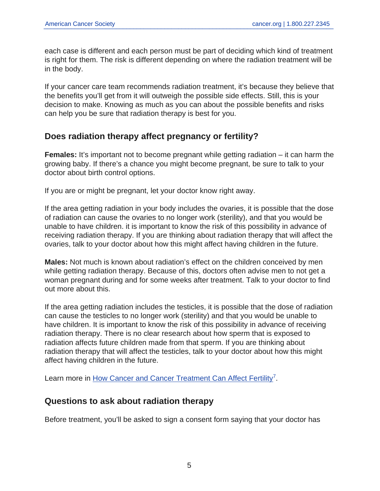each case is different and each person must be part of deciding which kind of treatment is right for them. The risk is different depending on where the radiation treatment will be in the body.

If your cancer care team recommends radiation treatment, it's because they believe that the benefits you'll get from it will outweigh the possible side effects. Still, this is your decision to make. Knowing as much as you can about the possible benefits and risks can help you be sure that radiation therapy is best for you.

## **Does radiation therapy affect pregnancy or fertility?**

**Females:** It's important not to become pregnant while getting radiation – it can harm the growing baby. If there's a chance you might become pregnant, be sure to talk to your doctor about birth control options.

If you are or might be pregnant, let your doctor know right away.

If the area getting radiation in your body includes the ovaries, it is possible that the dose of radiation can cause the ovaries to no longer work (sterility), and that you would be unable to have children. it is important to know the risk of this possibility in advance of receiving radiation therapy. If you are thinking about radiation therapy that will affect the ovaries, talk to your doctor about how this might affect having children in the future.

**Males:** Not much is known about radiation's effect on the children conceived by men while getting radiation therapy. Because of this, doctors often advise men to not get a woman pregnant during and for some weeks after treatment. Talk to your doctor to find out more about this.

If the area getting radiation includes the testicles, it is possible that the dose of radiation can cause the testicles to no longer work (sterility) and that you would be unable to have children. It is important to know the risk of this possibility in advance of receiving radiation therapy. There is no clear research about how sperm that is exposed to radiation affects future children made from that sperm. If you are thinking about radiation therapy that will affect the testicles, talk to your doctor about how this might affect having children in the future.

Learn more in [How Cancer and Cancer Treatment Can Affect Fertility](https://www.cancer.org/content/cancer/en/treatment/treatments-and-side-effects/physical-side-effects/fertility-and-sexual-side-effects/how-cancer-treatment-affects-fertility.html)<sup>7</sup>.

#### **Questions to ask about radiation therapy**

Before treatment, you'll be asked to sign a consent form saying that your doctor has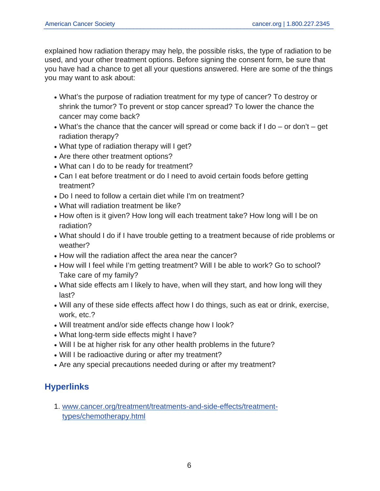explained how radiation therapy may help, the possible risks, the type of radiation to be used, and your other treatment options. Before signing the consent form, be sure that you have had a chance to get all your questions answered. Here are some of the things you may want to ask about:

- What's the purpose of radiation treatment for my type of cancer? To destroy or shrink the tumor? To prevent or stop cancer spread? To lower the chance the cancer may come back?
- What's the chance that the cancer will spread or come back if I do or don't get radiation therapy?
- What type of radiation therapy will I get?
- Are there other treatment options?
- What can I do to be ready for treatment?
- Can I eat before treatment or do I need to avoid certain foods before getting treatment?
- Do I need to follow a certain diet while I'm on treatment?
- What will radiation treatment be like?
- How often is it given? How long will each treatment take? How long will I be on radiation?
- What should I do if I have trouble getting to a treatment because of ride problems or weather?
- How will the radiation affect the area near the cancer?
- How will I feel while I'm getting treatment? Will I be able to work? Go to school? Take care of my family?
- What side effects am I likely to have, when will they start, and how long will they last?
- Will any of these side effects affect how I do things, such as eat or drink, exercise, work, etc.?
- Will treatment and/or side effects change how I look?
- What long-term side effects might I have?
- Will I be at higher risk for any other health problems in the future?
- Will I be radioactive during or after my treatment?
- Are any special precautions needed during or after my treatment?

## **Hyperlinks**

1. [www.cancer.org/treatment/treatments-and-side-effects/treatment](https://www.cancer.org/treatment/treatments-and-side-effects/treatment-types/chemotherapy.html)[types/chemotherapy.html](https://www.cancer.org/treatment/treatments-and-side-effects/treatment-types/chemotherapy.html)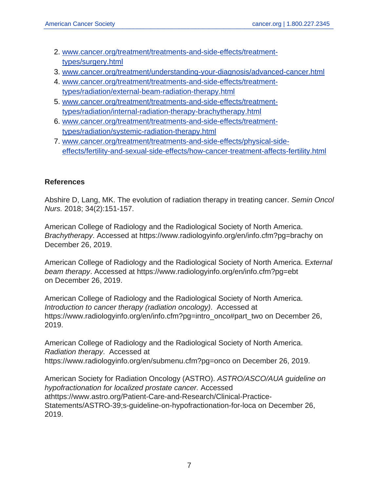- 2. [www.cancer.org/treatment/treatments-and-side-effects/treatment](https://www.cancer.org/treatment/treatments-and-side-effects/treatment-types/surgery.html)[types/surgery.html](https://www.cancer.org/treatment/treatments-and-side-effects/treatment-types/surgery.html)
- 3. [www.cancer.org/treatment/understanding-your-diagnosis/advanced-cancer.html](https://www.cancer.org/treatment/understanding-your-diagnosis/advanced-cancer.html)
- 4. [www.cancer.org/treatment/treatments-and-side-effects/treatment](https://www.cancer.org/treatment/treatments-and-side-effects/treatment-types/radiation/external-beam-radiation-therapy.html)[types/radiation/external-beam-radiation-therapy.html](https://www.cancer.org/treatment/treatments-and-side-effects/treatment-types/radiation/external-beam-radiation-therapy.html)
- 5. [www.cancer.org/treatment/treatments-and-side-effects/treatment](https://www.cancer.org/treatment/treatments-and-side-effects/treatment-types/radiation/internal-radiation-therapy-brachytherapy.html)[types/radiation/internal-radiation-therapy-brachytherapy.html](https://www.cancer.org/treatment/treatments-and-side-effects/treatment-types/radiation/internal-radiation-therapy-brachytherapy.html)
- 6. [www.cancer.org/treatment/treatments-and-side-effects/treatment](https://www.cancer.org/treatment/treatments-and-side-effects/treatment-types/radiation/systemic-radiation-therapy.html)[types/radiation/systemic-radiation-therapy.html](https://www.cancer.org/treatment/treatments-and-side-effects/treatment-types/radiation/systemic-radiation-therapy.html)
- 7. [www.cancer.org/treatment/treatments-and-side-effects/physical-side](https://www.cancer.org/treatment/treatments-and-side-effects/physical-side-effects/fertility-and-sexual-side-effects/how-cancer-treatment-affects-fertility.html)[effects/fertility-and-sexual-side-effects/how-cancer-treatment-affects-fertility.html](https://www.cancer.org/treatment/treatments-and-side-effects/physical-side-effects/fertility-and-sexual-side-effects/how-cancer-treatment-affects-fertility.html)

#### **References**

Abshire D, Lang, MK. The evolution of radiation therapy in treating cancer. Semin Oncol Nurs. 2018; 34(2):151-157.

American College of Radiology and the Radiological Society of North America. Brachytherapy. Accessed at https://www.radiologyinfo.org/en/info.cfm?pg=brachy on December 26, 2019.

American College of Radiology and the Radiological Society of North America. External beam therapy. Accessed at https://www.radiologyinfo.org/en/info.cfm?pg=ebt on December 26, 2019.

American College of Radiology and the Radiological Society of North America. Introduction to cancer therapy (radiation oncology). Accessed at https://www.radiologyinfo.org/en/info.cfm?pg=intro\_onco#part\_two on December 26, 2019.

American College of Radiology and the Radiological Society of North America. Radiation therapy. Accessed at https://www.radiologyinfo.org/en/submenu.cfm?pg=onco on December 26, 2019.

American Society for Radiation Oncology (ASTRO). ASTRO/ASCO/AUA guideline on hypofractionation for localized prostate cancer. Accessed athttps://www.astro.org/Patient-Care-and-Research/Clinical-Practice-Statements/ASTRO-39;s-guideline-on-hypofractionation-for-loca on December 26, 2019.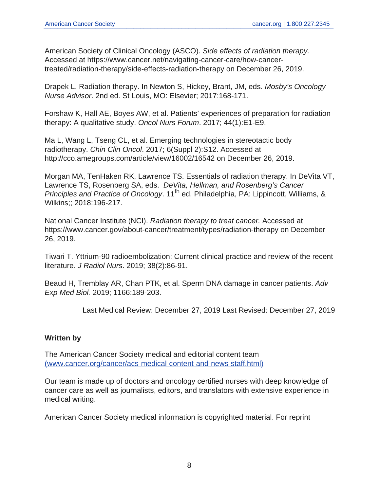American Society of Clinical Oncology (ASCO). Side effects of radiation therapy. Accessed at https://www.cancer.net/navigating-cancer-care/how-cancertreated/radiation-therapy/side-effects-radiation-therapy on December 26, 2019.

Drapek L. Radiation therapy. In Newton S, Hickey, Brant, JM, eds. Mosby's Oncology Nurse Advisor. 2nd ed. St Louis, MO: Elsevier; 2017:168-171.

Forshaw K, Hall AE, Boyes AW, et al. Patients' experiences of preparation for radiation therapy: A qualitative study. Oncol Nurs Forum. 2017; 44(1):E1-E9.

Ma L, Wang L, Tseng CL, et al. Emerging technologies in stereotactic body radiotherapy. Chin Clin Oncol. 2017; 6(Suppl 2):S12. Accessed at http://cco.amegroups.com/article/view/16002/16542 on December 26, 2019.

Morgan MA, TenHaken RK, Lawrence TS. Essentials of radiation therapy. In DeVita VT, Lawrence TS, Rosenberg SA, eds. DeVita, Hellman, and Rosenberg's Cancer Principles and Practice of Oncology. 11<sup>th</sup> ed. Philadelphia, PA: Lippincott, Williams, & Wilkins;; 2018:196-217.

National Cancer Institute (NCI). Radiation therapy to treat cancer. Accessed at https://www.cancer.gov/about-cancer/treatment/types/radiation-therapy on December 26, 2019.

Tiwari T. Yttrium-90 radioembolization: Current clinical practice and review of the recent literature. J Radiol Nurs. 2019; 38(2):86-91.

Beaud H, Tremblay AR, Chan PTK, et al. Sperm DNA damage in cancer patients. Adv Exp Med Biol. 2019; 1166:189-203.

Last Medical Review: December 27, 2019 Last Revised: December 27, 2019

#### **Written by**

The American Cancer Society medical and editorial content team [\(www.cancer.org/cancer/acs-medical-content-and-news-staff.html\)](https://www.cancer.org/content/cancer/en/cancer/acs-medical-content-and-news-staff.html)

Our team is made up of doctors and oncology certified nurses with deep knowledge of cancer care as well as journalists, editors, and translators with extensive experience in medical writing.

American Cancer Society medical information is copyrighted material. For reprint